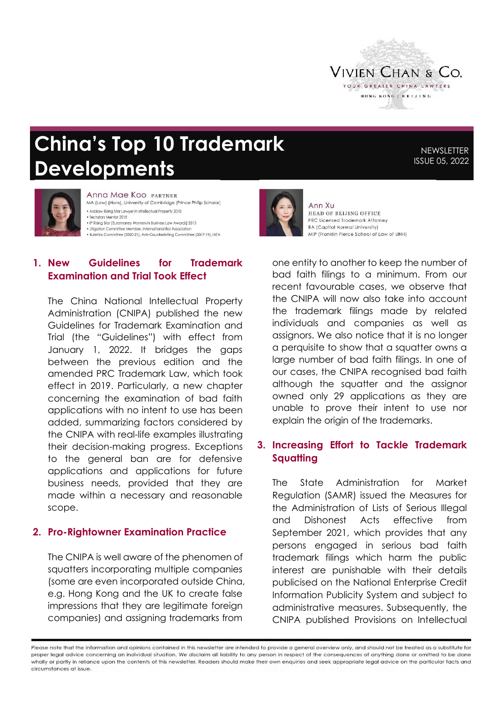

# **China's Top 10 Trademark Developments**

**NEWSLETTER** ISSUE 05, 2022



Anna Mae Koo PARTNER MA (Law) (Hons), University of Cambridge (Prince Philip Scholar) . Asialaw Rising Star Lawyer in Intellectual Property 2018 · Techstars Mentor 2015 • IP Rising Star (Euromoney Women in Business Law Awards) 2013 · Litigation Committee Member, International Bar Association - Enganon Committee (2020-21), Anti-Counterfeiting Committee (2017-19), INTA

#### **1. New Guidelines for Trademark Examination and Trial Took Effect**

The China National Intellectual Property Administration (CNIPA) published the new Guidelines for Trademark Examination and Trial (the "Guidelines") with effect from January 1, 2022. It bridges the gaps between the previous edition and the amended PRC Trademark Law, which took effect in 2019. Particularly, a new chapter concerning the examination of bad faith applications with no intent to use has been added, summarizing factors considered by the CNIPA with real-life examples illustrating their decision-making progress. Exceptions to the general ban are for defensive applications and applications for future business needs, provided that they are made within a necessary and reasonable scope.

#### **2. Pro-Rightowner Examination Practice**

The CNIPA is well aware of the phenomen of squatters incorporating multiple companies (some are even incorporated outside China, e.g. Hong Kong and the UK to create false impressions that they are legitimate foreign companies) and assigning trademarks from



Ann Xu HEAD OF BELJING OFFICE PRC Licensed Trademark Afforney BA (Capital Normal University) MIP (Franklin Pierce School of Law of UNH)

one entity to another to keep the number of bad faith filings to a minimum. From our recent favourable cases, we observe that the CNIPA will now also take into account the trademark filings made by related individuals and companies as well as assignors. We also notice that it is no longer a perquisite to show that a squatter owns a large number of bad faith filings. In one of our cases, the CNIPA recognised bad faith although the squatter and the assignor owned only 29 applications as they are unable to prove their intent to use nor explain the origin of the trademarks.

## **3. Increasing Effort to Tackle Trademark Squatting**

The State Administration for Market Regulation (SAMR) issued the Measures for the Administration of Lists of Serious Illegal and Dishonest Acts effective from September 2021, which provides that any persons engaged in serious bad faith trademark filings which harm the public interest are punishable with their details publicised on the National Enterprise Credit Information Publicity System and subject to administrative measures. Subsequently, the CNIPA published Provisions on Intellectual

Please note that the information and opinions contained in this newsletter are intended to provide a general overview only, and should not be treated as a substitute for proper legal advice concerning an individual situation. We disclaim all liability to any person in respect of the consequences of anything done or omitted to be done wholly or partly in reliance upon the contents of this newsletter. Readers should make their own enquiries and seek appropriate legal advice on the particular facts and circumstances at issue.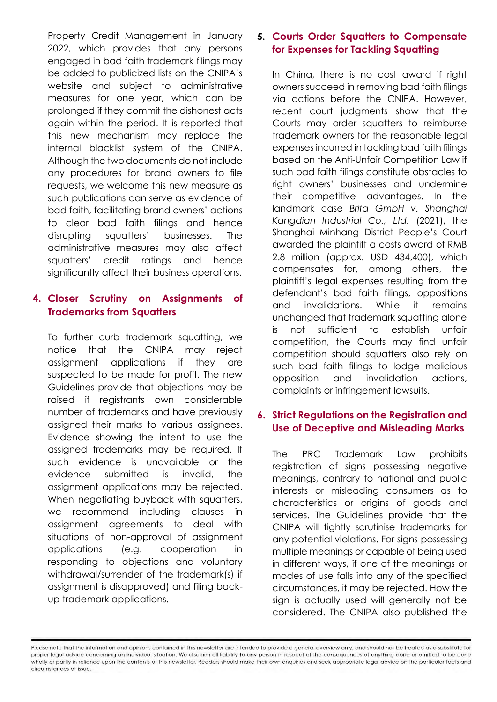Property Credit Management in January 2022, which provides that any persons engaged in bad faith trademark filings may be added to publicized lists on the CNIPA's website and subject to administrative measures for one year, which can be prolonged if they commit the dishonest acts again within the period. It is reported that this new mechanism may replace the internal blacklist system of the CNIPA. Although the two documents do not include any procedures for brand owners to file requests, we welcome this new measure as such publications can serve as evidence of bad faith, facilitating brand owners' actions to clear bad faith filings and hence disrupting squatters' businesses. The administrative measures may also affect squatters' credit ratings and hence significantly affect their business operations.

## **4. Closer Scrutiny on Assignments of Trademarks from Squatters**

To further curb trademark squatting, we notice that the CNIPA may reject assignment applications if they are suspected to be made for profit. The new Guidelines provide that objections may be raised if registrants own considerable number of trademarks and have previously assigned their marks to various assignees. Evidence showing the intent to use the assigned trademarks may be required. If such evidence is unavailable or the evidence submitted is invalid, the assignment applications may be rejected. When negotiating buyback with squatters, we recommend including clauses in assignment agreements to deal with situations of non-approval of assignment applications (e.g. cooperation in responding to objections and voluntary withdrawal/surrender of the trademark(s) if assignment is disapproved) and filing backup trademark applications.

## **5. Courts Order Squatters to Compensate for Expenses for Tackling Squatting**

In China, there is no cost award if right owners succeed in removing bad faith filings via actions before the CNIPA. However, recent court judgments show that the Courts may order squatters to reimburse trademark owners for the reasonable leaal expenses incurred in tackling bad faith filings based on the Anti-Unfair Competition Law if such bad faith filings constitute obstacles to right owners' businesses and undermine their competitive advantages. In the landmark case *Brita GmbH v. Shanghai Kangdian Industrial Co., Ltd.* (2021), the Shanghai Minhang District People's Court awarded the plaintiff a costs award of RMB 2.8 million (approx. USD 434,400), which compensates for, among others, the plaintiff's legal expenses resulting from the defendant's bad faith filings, oppositions and invalidations. While it remains unchanged that trademark squatting alone is not sufficient to establish unfair competition, the Courts may find unfair competition should squatters also rely on such bad faith filings to lodge malicious opposition and invalidation actions, complaints or infringement lawsuits.

## **6. Strict Regulations on the Registration and Use of Deceptive and Misleading Marks**

The PRC Trademark Law prohibits registration of signs possessing negative meanings, contrary to national and public interests or misleading consumers as to characteristics or origins of goods and services. The Guidelines provide that the CNIPA will tightly scrutinise trademarks for any potential violations. For signs possessing multiple meanings or capable of being used in different ways, if one of the meanings or modes of use falls into any of the specified circumstances, it may be rejected. How the sign is actually used will generally not be considered. The CNIPA also published the

Please note that the information and opinions contained in this newsletter are intended to provide a general overview only, and should not be treated as a substitute for proper legal advice concerning an individual situation. We disclaim all liability to any person in respect of the consequences of anything done or omitted to be done wholly or partly in reliance upon the contents of this newsletter. Readers should make their own enquiries and seek appropriate legal advice on the particular facts and circumstances at issue.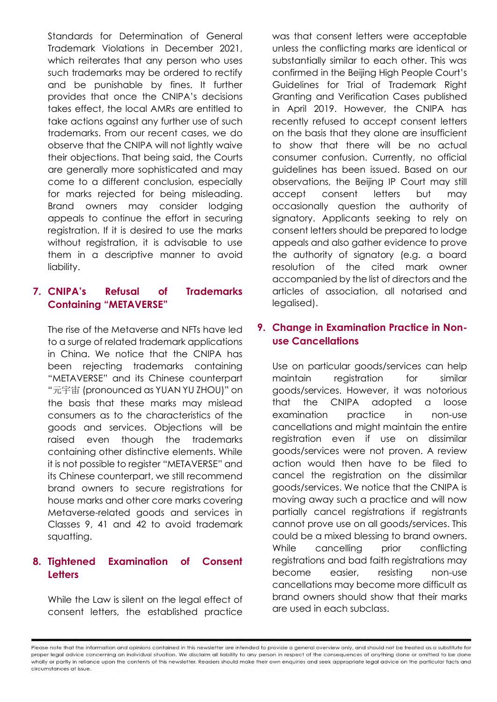Standards for Determination of General Trademark Violations in December 2021, which reiterates that any person who uses such trademarks may be ordered to rectify and be punishable by fines. It further provides that once the CNIPA's decisions takes effect, the local AMRs are entitled to take actions against any further use of such trademarks. From our recent cases, we do observe that the CNIPA will not lightly waive their objections. That being said, the Courts are generally more sophisticated and may come to a different conclusion, especially for marks rejected for being misleading. Brand owners may consider lodging appeals to continue the effort in securing registration. If it is desired to use the marks without registration, it is advisable to use them in a descriptive manner to avoid liability.

#### **7. CNIPA's Refusal of Trademarks Containing "METAVERSE"**

The rise of the Metaverse and NFTs have led to a surge of related trademark applications in China. We notice that the CNIPA has been rejecting trademarks containing "METAVERSE" and its Chinese counterpart "元宇宙 (pronounced as YUAN YU ZHOU)" on the basis that these marks may mislead consumers as to the characteristics of the goods and services. Objections will be raised even though the trademarks containing other distinctive elements. While it is not possible to register "METAVERSE" and its Chinese counterpart, we still recommend brand owners to secure registrations for house marks and other core marks covering Metaverse-related goods and services in Classes 9, 41 and 42 to avoid trademark squatting.

## **8. Tightened Examination of Consent Letters**

While the Law is silent on the legal effect of consent letters, the established practice

was that consent letters were acceptable unless the conflicting marks are identical or substantially similar to each other. This was confirmed in the Beijing High People Court's Guidelines for Trial of Trademark Right Granting and Verification Cases published in April 2019. However, the CNIPA has recently refused to accept consent letters on the basis that they alone are insufficient to show that there will be no actual consumer confusion. Currently, no official guidelines has been issued. Based on our observations, the Beijing IP Court may still accept consent letters but may occasionally question the authority of signatory. Applicants seeking to rely on consent letters should be prepared to lodge appeals and also gather evidence to prove the authority of signatory (e.g. a board resolution of the cited mark owner accompanied by the list of directors and the articles of association, all notarised and legalised).

## **9. Change in Examination Practice in Nonuse Cancellations**

Use on particular goods/services can help maintain registration for similar goods/services. However, it was notorious that the CNIPA adopted a loose examination practice in non-use cancellations and might maintain the entire registration even if use on dissimilar goods/services were not proven. A review action would then have to be filed to cancel the registration on the dissimilar goods/services. We notice that the CNIPA is moving away such a practice and will now partially cancel registrations if registrants cannot prove use on all goods/services. This could be a mixed blessing to brand owners. While cancelling prior conflicting registrations and bad faith registrations may become easier, resisting non-use cancellations may become more difficult as brand owners should show that their marks are used in each subclass.

Please note that the information and opinions contained in this newsletter are intended to provide a general overview only, and should not be treated as a substitute for proper legal advice concerning an individual situation. We disclaim all liability to any person in respect of the consequences of anything done or omitted to be done wholly or partly in reliance upon the contents of this newsletter. Readers should make their own enquiries and seek appropriate legal advice on the particular facts and circumstances at issue.